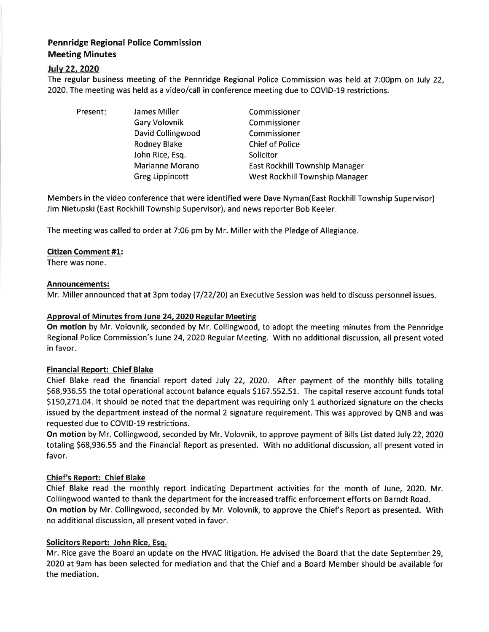# Pennridge Regional Police Commission Meeting Minutes

# lulv 22,2O2O

The regular business meeting of the Pennridge Regional Police Commission was held at 7:00pm on July 22, 2020. The meeting was held as a video/call in conference meeting due to COVID-19 restrictions.

Present: James Miller

Gary Volovnik David Collingwood Rodney Blake John Rice, Esq. Marianne Morano Greg Lippincott

Commissioner Commissioner Commissioner Chief of Police **Solicitor** East Rockhill Township Manager West Rockhill Township Manager

Members in the video conference that were identified were Dave Nyman(East Rockhill Township Supervisor) Jim Nietupski (East Rockhill Township Supervisor), and news reporter Bob Keeler.

The meeting was called to order at 7:06 pm by Mr. Miller with the Pledge of Allegiance.

# Citizen Comment #1:

There was none.

#### Announcements:

Mr. Miller announced that at 3pm today (7/22/20) an Executive Session was held to discuss personnel issues.

## Approval of Minutes from June 24, 2020 Regular Meeting

On motion by Mr. Volovnik, seconded by Mr. Collingwood, to adopt the meeting minutes from the Pennridge Regional Police Commission's June 24, 2020 Regular Meeting. With no additional discussion, all present voted in favor.

### Financial Report: Chief Blake

Chief Blake read the financial report dated July 22, 2020. After payment of the monthly bills totaling 568,936.55 the total operational account balance equals 5167.552.51. The capital reserve account funds total 5L50,27L.O4. lt should be noted that the department was requiring only 1 authorized signature on the checks issued by the department instead of the normal 2 signature requirement. This was approved by QNB and was requested due to COVID-19 restrictions.

On motion by Mr. Collingwood, seconded by Mr. Volovnik, to approve payment of Bills List dated July 22,202O totaling 568,936.55 and the Financial Report as presented. With no additional discussion, all present voted in favor.

### Chief's Report: Chief Blake

Chief Blake read the monthly report indicating Department activities for the month of June, 2020. Mr. Collingwood wanted to thank the department for the increased traffic enforcement efforts on Barndt Road. On motion by Mr. Collingwood, seconded by Mr. Volovnik, to approve the Chief's Report as presented. With no additional discussion, all present voted in favor.

### Solicitors Report: John Rice, Esq.

Mr. Rice gave the Board an update on the HVAC litigation. He advised the Board that the date September 29, 2O2O at 9am has been selected for mediation and that the Chief and a Board Member should be available for the mediation.